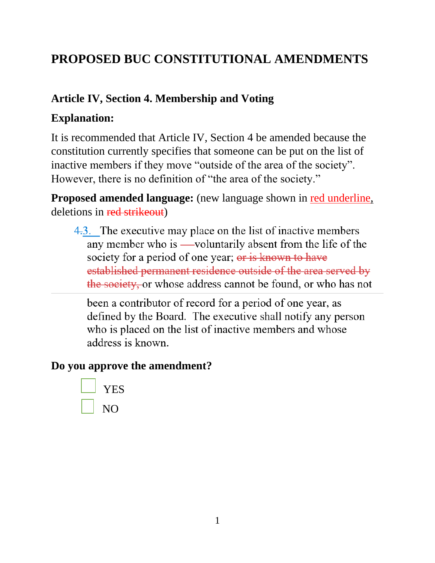# **PROPOSED BUC CONSTITUTIONAL AMENDMENTS**

#### **Article IV, Section 4. Membership and Voting**

#### **Explanation:**

It is recommended that Article IV, Section 4 be amended because the constitution currently specifies that someone can be put on the list of inactive members if they move "outside of the area of the society". However, there is no definition of "the area of the society."

**Proposed amended language:** (new language shown in red underline, deletions in red strikeout)

4.3. The executive may place on the list of inactive members any member who is —voluntarily absent from the life of the society for a period of one year; or is known to have established permanent residence outside of the area served by the society, or whose address cannot be found, or who has not

been a contributor of record for a period of one year, as defined by the Board. The executive shall notify any person who is placed on the list of inactive members and whose address is known.

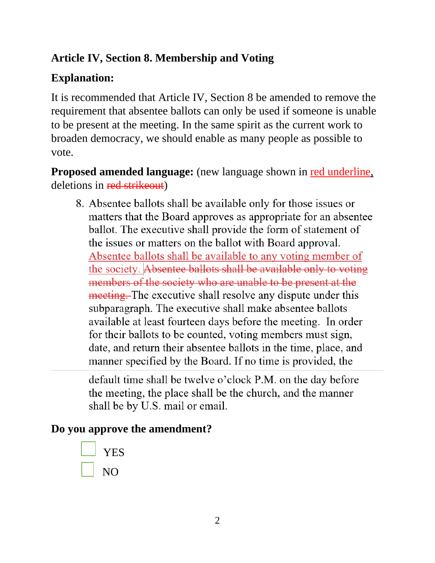### **Article IV, Section 8. Membership and Voting**

## **Explanation:**

It is recommended that Article IV, Section 8 be amended to remove the requirement that absentee ballots can only be used if someone is unable to be present at the meeting. In the same spirit as the current work to broaden democracy, we should enable as many people as possible to vote.

**Proposed amended language:** (new language shown in red underline, deletions in red strikeout)

8. Absentee ballots shall be available only for those issues or matters that the Board approves as appropriate for an absentee ballot. The executive shall provide the form of statement of the issues or matters on the ballot with Board approval. Absentee ballots shall be available to any voting member of the society. Absentee ballots shall be available only to voting members of the society who are unable to be present at the meeting. The executive shall resolve any dispute under this subparagraph. The executive shall make absentee ballots available at least fourteen days before the meeting. In order for their ballots to be counted, voting members must sign, date, and return their absentee ballots in the time, place, and manner specified by the Board. If no time is provided, the

default time shall be twelve o'clock P.M. on the day before the meeting, the place shall be the church, and the manner shall be by U.S. mail or email.

## **Do you approve the amendment?**

**YES** NO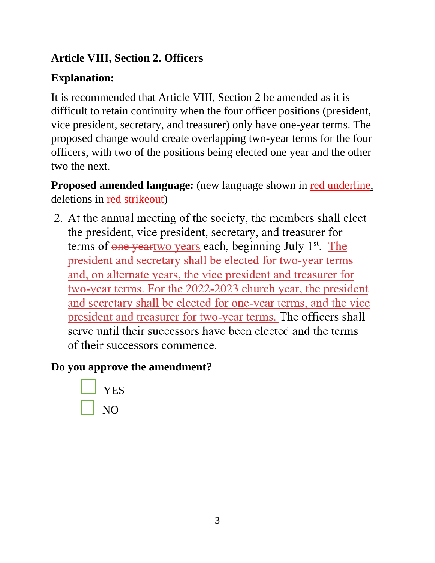## **Article VIII, Section 2. Officers**

## **Explanation:**

It is recommended that Article VIII, Section 2 be amended as it is difficult to retain continuity when the four officer positions (president, vice president, secretary, and treasurer) only have one-year terms. The proposed change would create overlapping two-year terms for the four officers, with two of the positions being elected one year and the other two the next.

**Proposed amended language:** (new language shown in red underline, deletions in red strikeout)

2. At the annual meeting of the society, the members shall elect the president, vice president, secretary, and treasurer for terms of  $\overline{\text{one}}$  yeartwo years each, beginning July 1<sup>st</sup>. The president and secretary shall be elected for two-year terms and, on alternate years, the vice president and treasurer for two-year terms. For the 2022-2023 church year, the president and secretary shall be elected for one-year terms, and the vice president and treasurer for two-year terms. The officers shall serve until their successors have been elected and the terms of their successors commence.

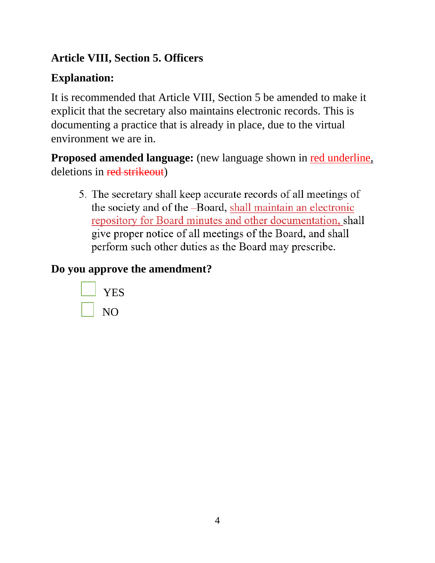## **Article VIII, Section 5. Officers**

## **Explanation:**

It is recommended that Article VIII, Section 5 be amended to make it explicit that the secretary also maintains electronic records. This is documenting a practice that is already in place, due to the virtual environment we are in.

**Proposed amended language:** (new language shown in red underline, deletions in red strikeout)

5. The secretary shall keep accurate records of all meetings of the society and of the -Board, shall maintain an electronic repository for Board minutes and other documentation, shall give proper notice of all meetings of the Board, and shall perform such other duties as the Board may prescribe.

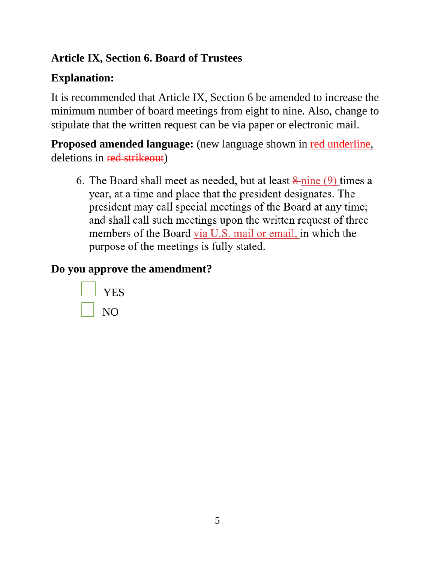### **Article IX, Section 6. Board of Trustees**

## **Explanation:**

It is recommended that Article IX, Section 6 be amended to increase the minimum number of board meetings from eight to nine. Also, change to stipulate that the written request can be via paper or electronic mail.

**Proposed amended language:** (new language shown in red underline, deletions in red strikeout)

6. The Board shall meet as needed, but at least 8-nine (9) times a year, at a time and place that the president designates. The president may call special meetings of the Board at any time; and shall call such meetings upon the written request of three members of the Board via U.S. mail or email, in which the purpose of the meetings is fully stated.

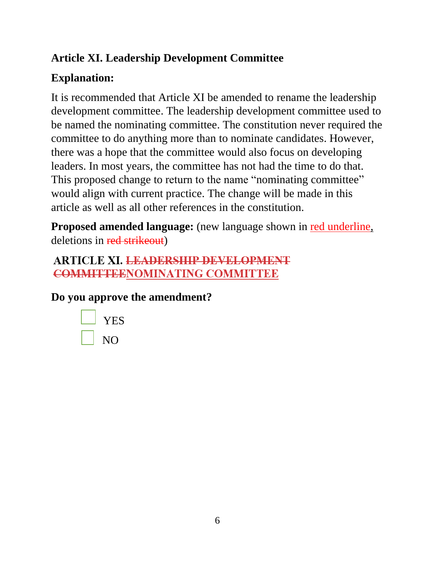## **Article XI. Leadership Development Committee**

## **Explanation:**

It is recommended that Article XI be amended to rename the leadership development committee. The leadership development committee used to be named the nominating committee. The constitution never required the committee to do anything more than to nominate candidates. However, there was a hope that the committee would also focus on developing leaders. In most years, the committee has not had the time to do that. This proposed change to return to the name "nominating committee" would align with current practice. The change will be made in this article as well as all other references in the constitution.

**Proposed amended language:** (new language shown in red underline, deletions in red strikeout)

**ARTICLE XI. LEADERSHIP DEVELOPMENT COMMITTEENOMINATING COMMITTEE** 

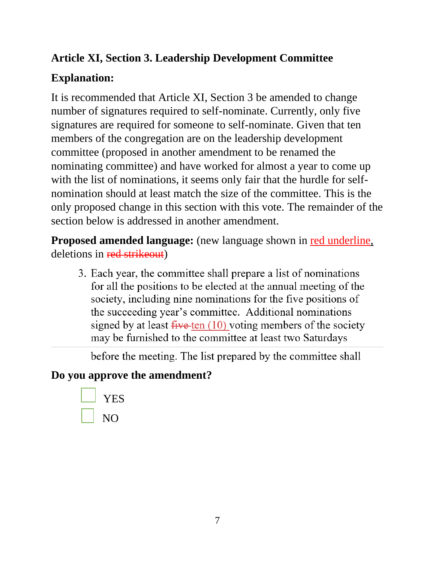### **Article XI, Section 3. Leadership Development Committee**

## **Explanation:**

It is recommended that Article XI, Section 3 be amended to change number of signatures required to self-nominate. Currently, only five signatures are required for someone to self-nominate. Given that ten members of the congregation are on the leadership development committee (proposed in another amendment to be renamed the nominating committee) and have worked for almost a year to come up with the list of nominations, it seems only fair that the hurdle for selfnomination should at least match the size of the committee. This is the only proposed change in this section with this vote. The remainder of the section below is addressed in another amendment.

**Proposed amended language:** (new language shown in red underline, deletions in red strikeout)

3. Each year, the committee shall prepare a list of nominations for all the positions to be elected at the annual meeting of the society, including nine nominations for the five positions of the succeeding year's committee. Additional nominations signed by at least  $\frac{f}{f}$  ive-ten (10) voting members of the society may be furnished to the committee at least two Saturdays

before the meeting. The list prepared by the committee shall

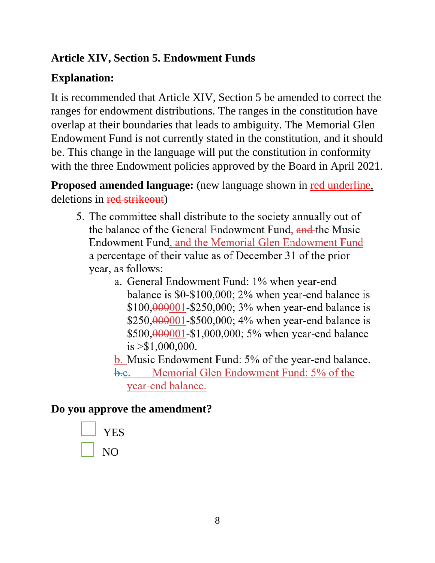## **Article XIV, Section 5. Endowment Funds**

## **Explanation:**

It is recommended that Article XIV, Section 5 be amended to correct the ranges for endowment distributions. The ranges in the constitution have overlap at their boundaries that leads to ambiguity. The Memorial Glen Endowment Fund is not currently stated in the constitution, and it should be. This change in the language will put the constitution in conformity with the three Endowment policies approved by the Board in April 2021.

**Proposed amended language:** (new language shown in red underline, deletions in red strikeout)

- 5. The committee shall distribute to the society annually out of the balance of the General Endowment Fund, and the Music Endowment Fund, and the Memorial Glen Endowment Fund a percentage of their value as of December 31 of the prior year, as follows:
	- a. General Endowment Fund: 1% when year-end balance is  $$0-\$100,000; 2\%$  when year-end balance is  $$100,000001 - $250,000; 3\%$  when year-end balance is  $$250,000001 - $500,000; 4\%$  when year-end balance is \$500,00001-\$1,000,000; 5% when year-end balance is  $> $1,000,000$ .
	- **b.** Music Endowment Fund: 5% of the year-end balance. **b.c.** Memorial Glen Endowment Fund: 5% of the year-end balance.

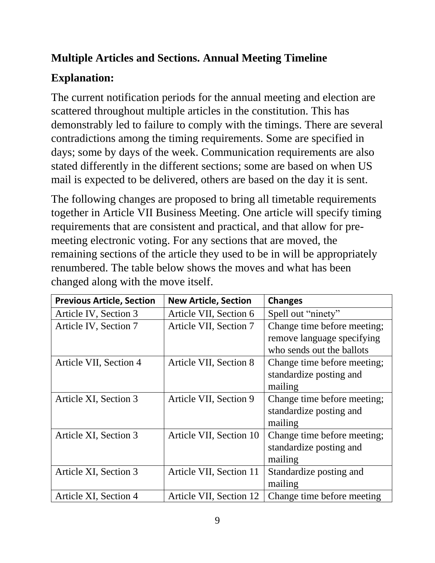### **Multiple Articles and Sections. Annual Meeting Timeline**

## **Explanation:**

The current notification periods for the annual meeting and election are scattered throughout multiple articles in the constitution. This has demonstrably led to failure to comply with the timings. There are several contradictions among the timing requirements. Some are specified in days; some by days of the week. Communication requirements are also stated differently in the different sections; some are based on when US mail is expected to be delivered, others are based on the day it is sent.

The following changes are proposed to bring all timetable requirements together in Article VII Business Meeting. One article will specify timing requirements that are consistent and practical, and that allow for premeeting electronic voting. For any sections that are moved, the remaining sections of the article they used to be in will be appropriately renumbered. The table below shows the moves and what has been changed along with the move itself.

| <b>Previous Article, Section</b> | <b>New Article, Section</b> | <b>Changes</b>              |
|----------------------------------|-----------------------------|-----------------------------|
| Article IV, Section 3            | Article VII, Section 6      | Spell out "ninety"          |
| Article IV, Section 7            | Article VII, Section 7      | Change time before meeting; |
|                                  |                             | remove language specifying  |
|                                  |                             | who sends out the ballots   |
| Article VII, Section 4           | Article VII, Section 8      | Change time before meeting; |
|                                  |                             | standardize posting and     |
|                                  |                             | mailing                     |
| Article XI, Section 3            | Article VII, Section 9      | Change time before meeting; |
|                                  |                             | standardize posting and     |
|                                  |                             | mailing                     |
| Article XI, Section 3            | Article VII, Section 10     | Change time before meeting; |
|                                  |                             | standardize posting and     |
|                                  |                             | mailing                     |
| Article XI, Section 3            | Article VII, Section 11     | Standardize posting and     |
|                                  |                             | mailing                     |
| Article XI, Section 4            | Article VII, Section 12     | Change time before meeting  |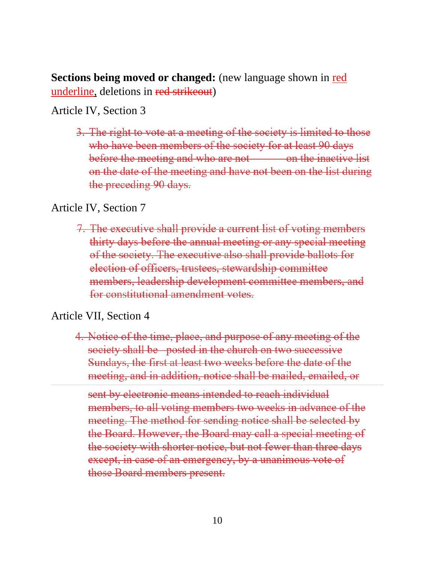**Sections being moved or changed:** (new language shown in red underline, deletions in red strikeout)

Article IV, Section 3

3. The right to vote at a meeting of the society is limited to those who have been members of the society for at least 90 days before the meeting and who are not on the inactive list on the date of the meeting and have not been on the list during the preceding 90 days.

#### Article IV, Section 7

7. The executive shall provide a current list of voting members thirty days before the annual meeting or any special meeting of the society. The executive also shall provide ballots for election of officers, trustees, stewardship committee members, leadership development committee members, and for constitutional amendment votes.

#### Article VII, Section 4

4. Notice of the time, place, and purpose of any meeting of the society shall be posted in the church on two successive Sundays, the first at least two weeks before the date of the meeting, and in addition, notice shall be mailed, emailed, or

sent by electronic means intended to reach individual members, to all voting members two weeks in advance of the meeting. The method for sending notice shall be selected by the Board. However, the Board may call a special meeting of the society with shorter notice, but not fewer than three days except, in case of an emergency, by a unanimous vote of those Board members present.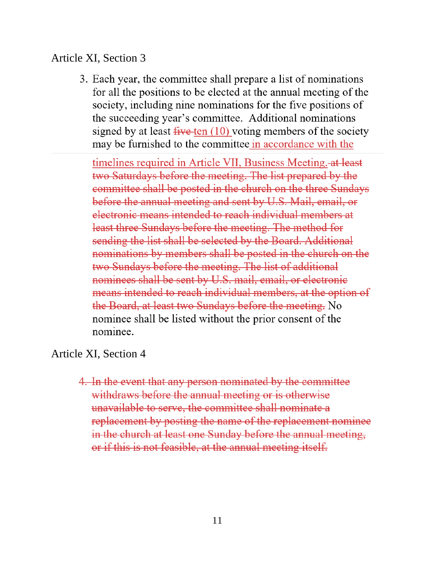#### Article XI, Section 3

3. Each year, the committee shall prepare a list of nominations for all the positions to be elected at the annual meeting of the society, including nine nominations for the five positions of the succeeding year's committee. Additional nominations signed by at least  $\frac{f}{f}$  ive ten (10) voting members of the society may be furnished to the committee in accordance with the

timelines required in Article VII, Business Meeting. at least two Saturdays before the meeting. The list prepared by the committee shall be posted in the church on the three Sundays before the annual meeting and sent by U.S. Mail, email, or electronic means intended to reach individual members at least three Sundays before the meeting. The method for sending the list shall be selected by the Board. Additional nominations by members shall be posted in the church on the two Sundays before the meeting. The list of additional nominees shall be sent by U.S. mail, email, or electronic means intended to reach individual members, at the option of the Board, at least two Sundays before the meeting. No nominee shall be listed without the prior consent of the nominee.

Article XI, Section 4

4. In the event that any person nominated by the committee withdraws before the annual meeting or is otherwise unavailable to serve, the committee shall nominate a replacement by posting the name of the replacement nominee in the church at least one Sunday before the annual meeting, or if this is not feasible, at the annual meeting itself.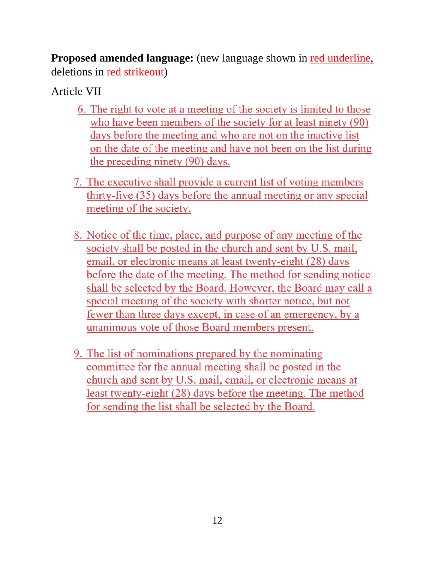**Proposed amended language:** (new language shown in red underline, deletions in red strikeout)

Article VII

- 6. The right to vote at a meeting of the society is limited to those who have been members of the society for at least ninety (90) days before the meeting and who are not on the inactive list on the date of the meeting and have not been on the list during the preceding ninety (90) days.
- 7. The executive shall provide a current list of voting members thirty-five (35) days before the annual meeting or any special meeting of the society.
- 8. Notice of the time, place, and purpose of any meeting of the society shall be posted in the church and sent by U.S. mail, email, or electronic means at least twenty-eight (28) days before the date of the meeting. The method for sending notice shall be selected by the Board. However, the Board may call a special meeting of the society with shorter notice, but not fewer than three days except, in case of an emergency, by a unanimous vote of those Board members present.
- 9. The list of nominations prepared by the nominating committee for the annual meeting shall be posted in the church and sent by U.S. mail, email, or electronic means at least twenty-eight (28) days before the meeting. The method for sending the list shall be selected by the Board.